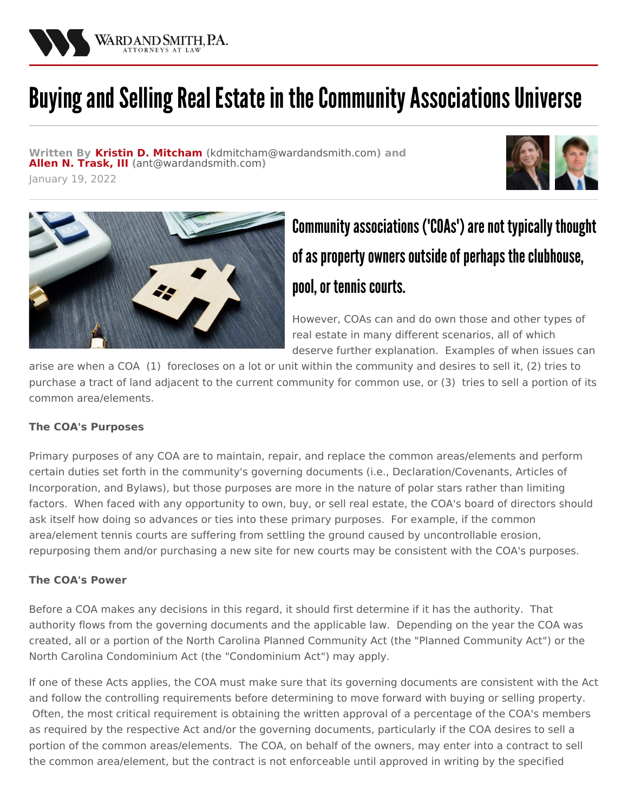

# Buying and Selling Real Estate in the Community Associations Universe

**Written By Kristin D. [Mitcham](/attorneys/kristin-mitcham) (**[kdmitcham@wardandsmith.com](mailto:kdmitcham@wardandsmith.com)**) and Allen N. [Trask,](/attorneys/allen-trask) III (**[ant@wardandsmith.com](mailto:ant@wardandsmith.com)**)**

January 19, 2022





# Community associations ('COAs') are not typically thought of as property owners outside of perhaps the clubhouse, pool, or tennis courts.

However, COAs can and do own those and other types of real estate in many different scenarios, all of which deserve further explanation. Examples of when issues can

arise are when a COA (1) forecloses on a lot or unit within the community and desires to sell it, (2) tries to purchase a tract of land adjacent to the current community for common use, or (3) tries to sell a portion of its common area/elements.

## **The COA's Purposes**

Primary purposes of any COA are to maintain, repair, and replace the common areas/elements and perform certain duties set forth in the community's governing documents (i.e., Declaration/Covenants, Articles of Incorporation, and Bylaws), but those purposes are more in the nature of polar stars rather than limiting factors. When faced with any opportunity to own, buy, or sell real estate, the COA's board of directors should ask itself how doing so advances or ties into these primary purposes. For example, if the common area/element tennis courts are suffering from settling the ground caused by uncontrollable erosion, repurposing them and/or purchasing a new site for new courts may be consistent with the COA's purposes.

## **The COA's Power**

Before a COA makes any decisions in this regard, it should first determine if it has the authority. That authority flows from the governing documents and the applicable law. Depending on the year the COA was created, all or a portion of the North Carolina Planned Community Act (the "Planned Community Act") or the North Carolina Condominium Act (the "Condominium Act") may apply.

If one of these Acts applies, the COA must make sure that its governing documents are consistent with the Act and follow the controlling requirements before determining to move forward with buying or selling property. Often, the most critical requirement is obtaining the written approval of a percentage of the COA's members as required by the respective Act and/or the governing documents, particularly if the COA desires to sell a portion of the common areas/elements. The COA, on behalf of the owners, may enter into a contract to sell the common area/element, but the contract is not enforceable until approved in writing by the specified